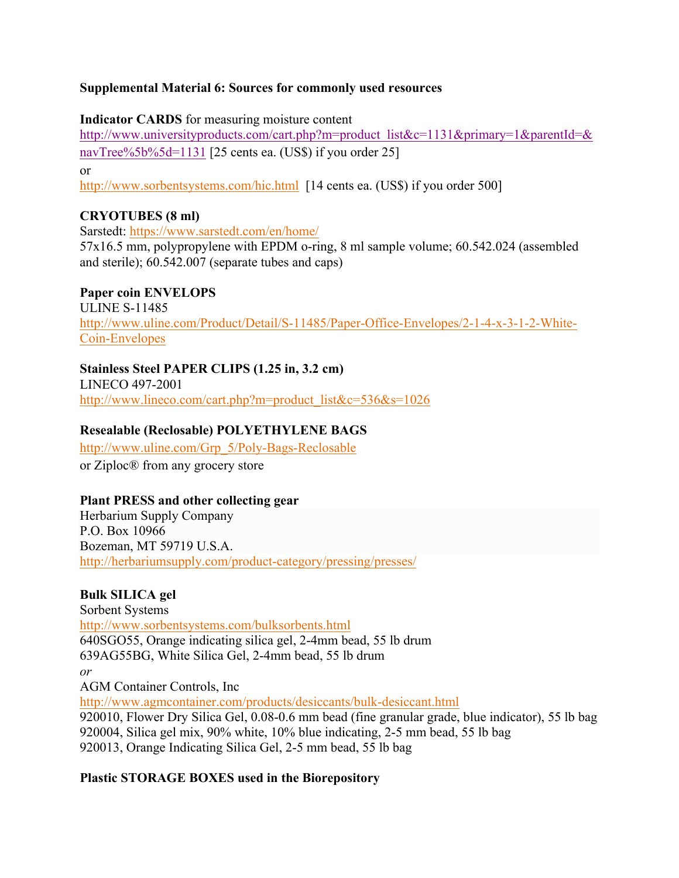## **Supplemental Material 6: Sources for commonly used resources**

**Indicator CARDS** for measuring moisture content

http://www.universityproducts.com/cart.php?m=product\_list&c=1131&primary=1&parentId=& navTree%5b%5d=1131 [25 cents ea. (US\$) if you order 25]

or

http://www.sorbentsystems.com/hic.html [14 cents ea. (US\$) if you order 500]

## **CRYOTUBES (8 ml)**

Sarstedt: https://www.sarstedt.com/en/home/ 57x16.5 mm, polypropylene with EPDM o-ring, 8 ml sample volume; 60.542.024 (assembled and sterile); 60.542.007 (separate tubes and caps)

## **Paper coin ENVELOPS**

ULINE S-11485 http://www.uline.com/Product/Detail/S-11485/Paper-Office-Envelopes/2-1-4-x-3-1-2-White-Coin-Envelopes

## **Stainless Steel PAPER CLIPS (1.25 in, 3.2 cm)**

LINECO 497-2001 http://www.lineco.com/cart.php?m=product\_list&c=536&s=1026

## **Resealable (Reclosable) POLYETHYLENE BAGS**

http://www.uline.com/Grp\_5/Poly-Bags-Reclosable

or Ziploc® from any grocery store

## **Plant PRESS and other collecting gear**

Herbarium Supply Company P.O. Box 10966 Bozeman, MT 59719 U.S.A. http://herbariumsupply.com/product-category/pressing/presses/

## **Bulk SILICA gel**

Sorbent Systems http://www.sorbentsystems.com/bulksorbents.html 640SGO55, Orange indicating silica gel, 2-4mm bead, 55 lb drum 639AG55BG, White Silica Gel, 2-4mm bead, 55 lb drum *or* AGM Container Controls, Inc http://www.agmcontainer.com/products/desiccants/bulk-desiccant.html 920010, Flower Dry Silica Gel, 0.08-0.6 mm bead (fine granular grade, blue indicator), 55 lb bag 920004, Silica gel mix, 90% white, 10% blue indicating, 2-5 mm bead, 55 lb bag

920013, Orange Indicating Silica Gel, 2-5 mm bead, 55 lb bag

## **Plastic STORAGE BOXES used in the Biorepository**